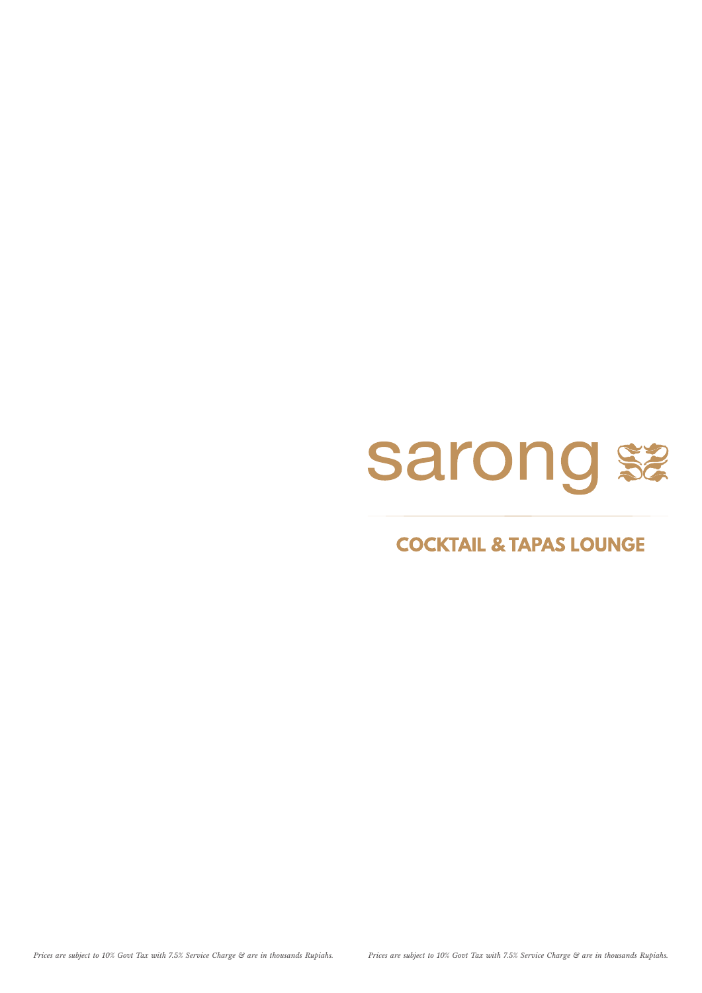# sarong \$2

### **COCKTAIL & TAPAS LOUNGE**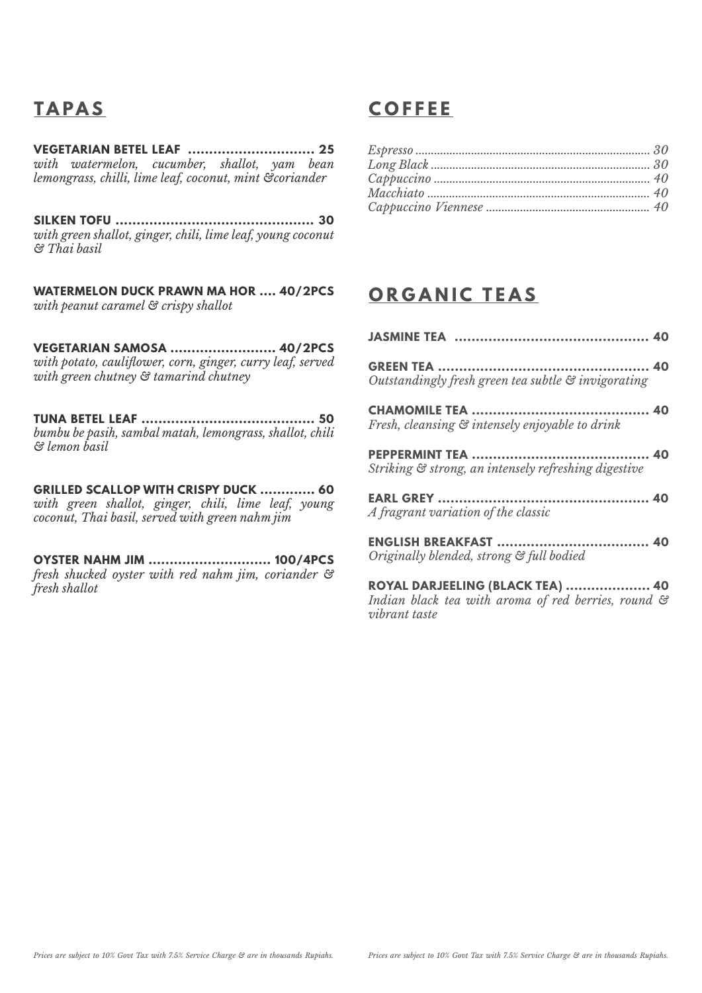**VEGETARIAN BETEL LEAF .............................. 25** *with watermelon, cucumber, shallot, yam bean lemongrass, chilli, lime leaf, coconut, mint &coriander*

**SILKEN TOFU ............................................... 30** *with green shallot, ginger, chili, lime leaf, young coconut & Thai basil*

**WATERMELON DUCK PRAWN MA HOR .... 40/2PCS** *with peanut caramel & crispy shallot*

**VEGETARIAN SAMOSA ......................... 40/2PCS** *with potato, cauliower, corn, ginger, curry leaf, served with green chutney & tamarind chutney*

**TUNA BETEL LEAF ......................................... 50** *bumbu be pasih, sambal matah, lemongrass, shallot, chili & lemon basil*

**GRILLED SCALLOP WITH CRISPY DUCK ............. 60** *with green shallot, ginger, chili, lime leaf, young coconut, Thai basil, served with green nahm jim*

**OYSTER NAHM JIM ............................. 100/4PCS** *fresh shucked oyster with red nahm jim, coriander & fresh shallot*

## **TAPAS COFFEE**

### **ORGANIC TEAS**

| Outstandingly fresh green tea subtle & invigorating  |
|------------------------------------------------------|
| Fresh, cleansing & intensely enjoyable to drink      |
| Striking & strong, an intensely refreshing digestive |
| A fragrant variation of the classic                  |
| Originally blended, strong & full bodied             |

**ROYAL DARJEELING (BLACK TEA) .................... 40** *Indian black tea with aroma of red berries, round & vibrant taste*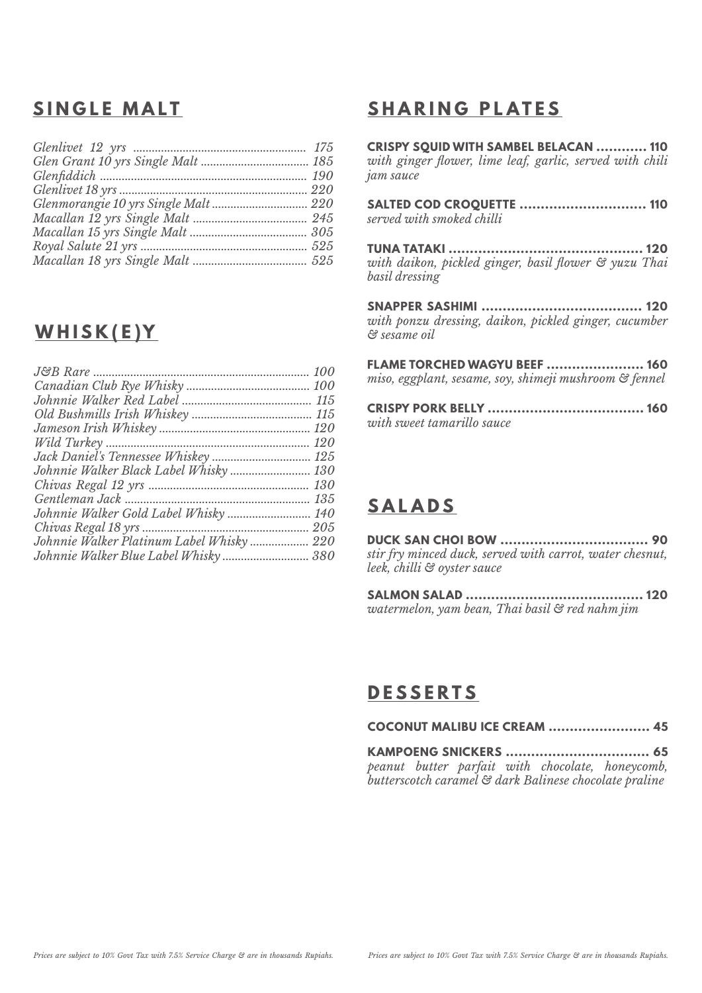### **SINGLE MALT**

| Glenmorangie 10 yrs Single Malt  220 |  |
|--------------------------------------|--|
|                                      |  |
|                                      |  |
|                                      |  |
|                                      |  |

### **WHISK(E)Y**

|                                          | 115        |
|------------------------------------------|------------|
|                                          |            |
|                                          |            |
|                                          |            |
|                                          |            |
| Johnnie Walker Black Label Whisky 130    |            |
|                                          | <i>130</i> |
|                                          | 135        |
|                                          |            |
|                                          | 205        |
| Johnnie Walker Platinum Label Whisky 220 |            |
| Johnnie Walker Blue Label Whisky 380     |            |

### **SHARING PLATES**

**CRISPY SQUID WITH SAMBEL BELACAN ............ 110** with ginger flower, lime leaf, garlic, served with chili *jam sauce*

**SALTED COD CROQUETTE .............................. 110** *served with smoked chilli*

**TUNA TATAKI .............................................. 120** *with daikon, pickled ginger, basil ower & yuzu Thai basil dressing*

**SNAPPER SASHIMI ...................................... 120** *with ponzu dressing, daikon, pickled ginger, cucumber & sesame oil*

**FLAME TORCHED WAGYU BEEF ....................... 160** *miso, eggplant, sesame, soy, shimeji mushroom & fennel*

**CRISPY PORK BELLY ..................................... 160** *with sweet tamarillo sauce*

### **SALADS**

**DUCK SAN CHOI BOW ................................... 90** *stir fry minced duck, served with carrot, water chesnut, leek, chilli & oyster sauce*

**SALMON SALAD .......................................... 120** *watermelon, yam bean, Thai basil & red nahm jim*

### **DESSERTS**

**COCONUT MALIBU ICE CREAM ........................ 45**

**KAMPOENG SNICKERS .................................. 65** *peanut butter parfait with chocolate, honeycomb, butterscotch caramel & dark Balinese chocolate praline*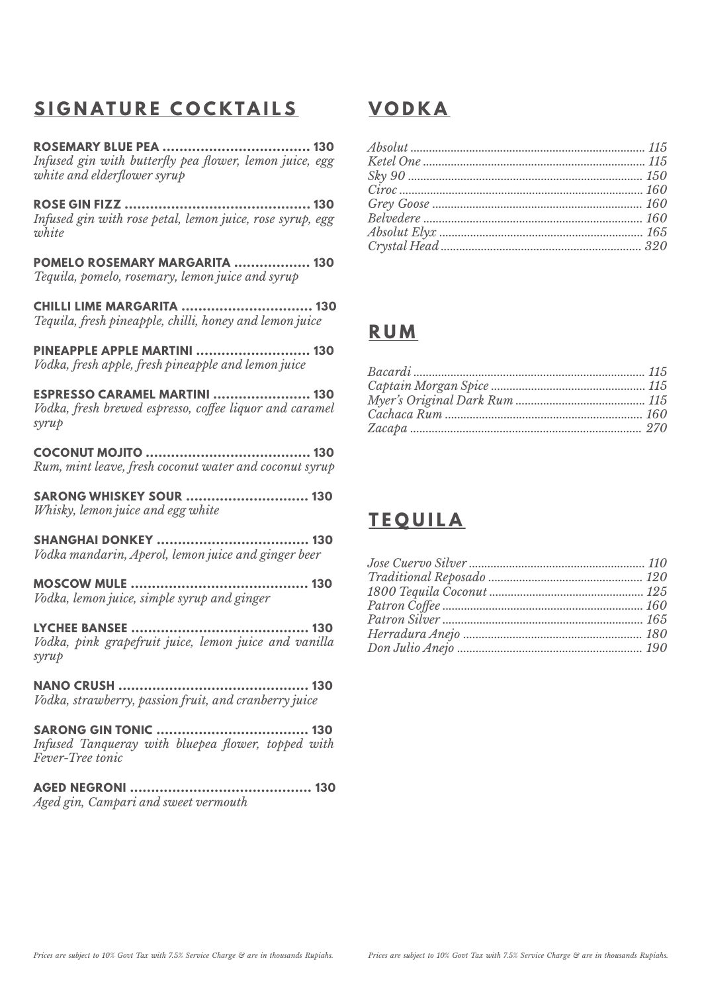### **SIGNATURE COCKTAILS**

**ROSEMARY BLUE PEA ................................... 130** *Infused gin with butterfly pea flower, lemon juice, egg white and elderflower syrup* 

**ROSE GIN FIZZ ............................................ 130** *Infused gin with rose petal, lemon juice, rose syrup, egg white*

**POMELO ROSEMARY MARGARITA .................. 130** *Tequila, pomelo, rosemary, lemon juice and syrup*

**CHILLI LIME MARGARITA ............................... 130** *Tequila, fresh pineapple, chilli, honey and lemon juice*

**PINEAPPLE APPLE MARTINI ........................... 130** *Vodka, fresh apple, fresh pineapple and lemon juice*

**ESPRESSO CARAMEL MARTINI ....................... 130** *Vodka, fresh brewed espresso, coffee liquor and caramel syrup*

**COCONUT MOJITO ....................................... 130** *Rum, mint leave, fresh coconut water and coconut syrup*

**SARONG WHISKEY SOUR ............................. 130** *Whisky, lemon juice and egg white*

**SHANGHAI DONKEY .................................... 130** *Vodka mandarin, Aperol, lemon juice and ginger beer*

**MOSCOW MULE .......................................... 130** *Vodka, lemon juice, simple syrup and ginger*

**LYCHEE BANSEE .......................................... 130** *Vodka, pink grapefruit juice, lemon juice and vanilla syrup*

**NANO CRUSH ............................................. 130** *Vodka, strawberry, passion fruit, and cranberry juice*

**SARONG GIN TONIC .................................... 130** *Infused Tanqueray with bluepea flower, topped with Fever-Tree tonic*

**AGED NEGRONI ........................................... 130** *Aged gin, Campari and sweet vermouth*

### **VODKA**

### **RUM**

### **TEQUILA**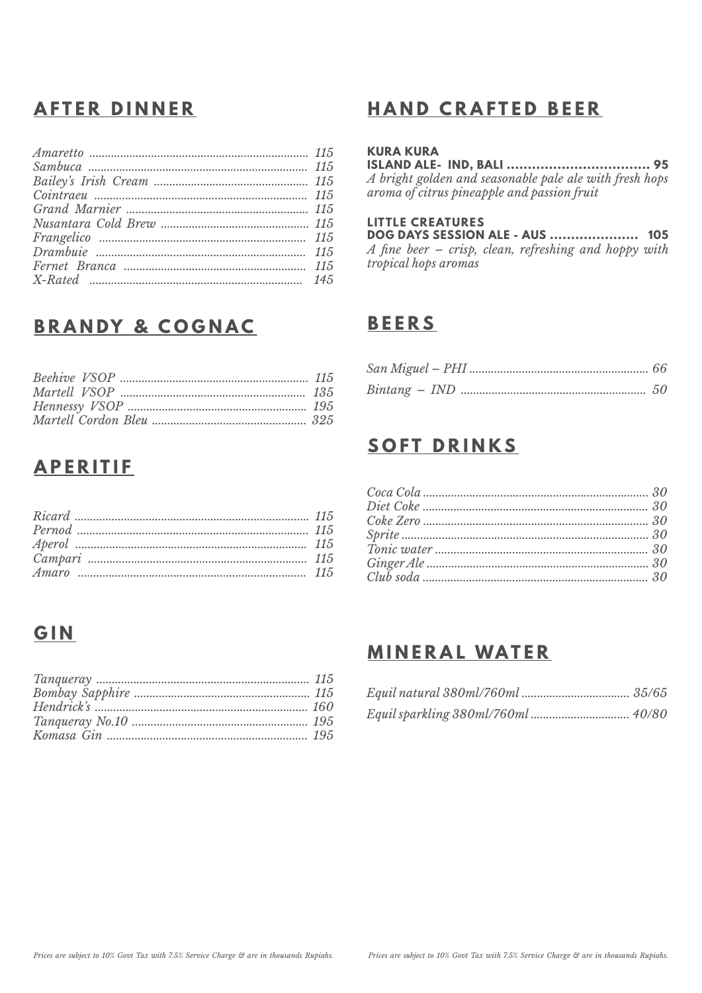### **AFTER DINNER**

## **BRANDY & COGNAC**

### **APERITIF**

### **GIN**

### **HAND CRAFTED BEER**

### **KURA KURA**

A bright golden and seasonable pale ale with fresh hops<br>aroma of citrus pineapple and passion fruit

#### **LITTLE CREATURES**

**DOG DAYS SESSION ALE - AUS ..................... 105** A fine beer - crisp, clean, refreshing and hoppy with tropical hops aromas

### **BEERS**

### **SOFT DRINKS**

| $\hat{T}onic\ water\  \  \  \, \ldots\  \  \, \ldots\  \  \, \ldots\  \  \, \ldots\  \  \, \ldots\  \  \, \ldots\  \  \, \ldots\  \  \, 30$ |
|---------------------------------------------------------------------------------------------------------------------------------------------|
|                                                                                                                                             |
|                                                                                                                                             |

### **MINERAL WATER**